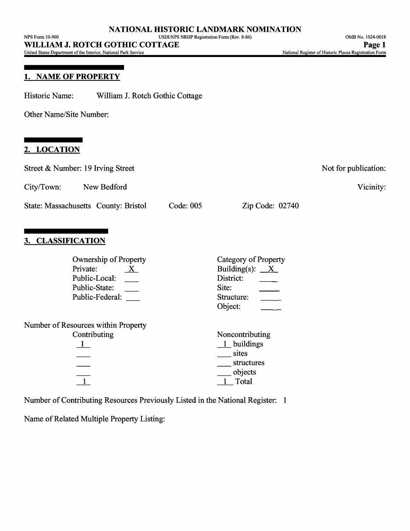United States Department of the Interior, National Park Service

#### **1. NAME OF PROPERTY**

Historic Name: William J. Rotch Gothic Cottage

Other Name/Site Number:

# **2. LOCATION**

| Street & Number: 19 Irving Street                                                                             | Not for publication:                                                          |
|---------------------------------------------------------------------------------------------------------------|-------------------------------------------------------------------------------|
| City/Town:<br>New Bedford                                                                                     | Vicinity:                                                                     |
| State: Massachusetts County: Bristol<br>Code: 005                                                             | Zip Code: 02740                                                               |
| <b>CLASSIFICATION</b>                                                                                         |                                                                               |
| <b>Ownership of Property</b><br>Private:<br>$\mathbf{X}$<br>Public-Local:<br>Public-State:<br>Public-Federal: | Category of Property<br>Building(s): $X$<br>District:<br>Site:<br>Object:     |
| Number of Resources within Property<br>Contributing<br>$\frac{1}{\sqrt{1}}$                                   | Noncontributing<br>$1$ buildings<br>sites<br>structures<br>objects<br>1 Total |
| Number of Contributing Resources Previously Listed in the National Register: 1                                |                                                                               |

Name of Related Multiple Property Listing: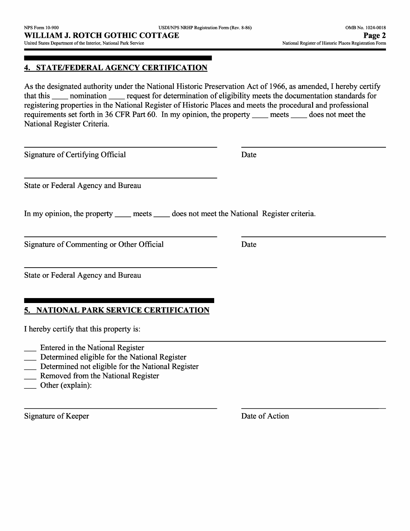## **4. STATE/FEDERAL AGENCY CERTIFICATION**

As the designated authority under the National Historic Preservation Act of 1966, as amended, I hereby certify that this \_\_ nomination \_\_ request for determination of eligibility meets the documentation standards for registering properties in the National Register of Historic Places and meets the procedural and professional requirements set forth in 36 CFR Part 60. In my opinion, the property \_\_ meets \_\_ does not meet the National Register Criteria.

Signature of Certifying Official Date

State or Federal Agency and Bureau

In my opinion, the property \_\_\_\_\_ meets \_\_\_\_\_ does not meet the National Register criteria.

Signature of Commenting or Other Official Date

State or Federal Agency and Bureau

# **5. NATIONAL PARK SERVICE CERTIFICATION**

I hereby certify that this property is:

- Entered in the National Register
- Determined eligible for the National Register
- Determined not eligible for the National Register
- **Removed from the National Register**
- Other (explain):

Signature of Keeper Date of Action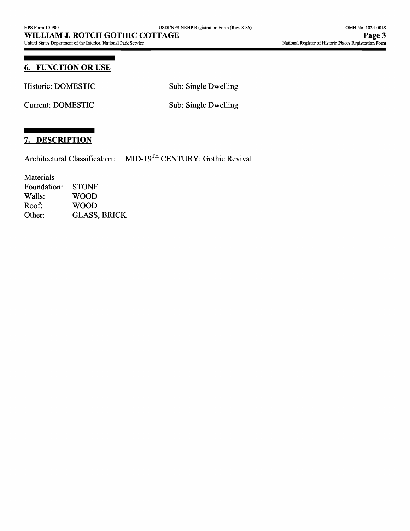# **6. FUNCTION OR USE**

Historic: DOMESTIC Sub: Single Dwelling

Current: DOMESTIC Sub: Single Dwelling

## **7. DESCRIPTION**

Architectural Classification: MID-19™ CENTURY: Gothic Revival

Materials

Foundation: STONE<br>Walls: WOOD WOOD Roof: WOOD Other: GLASS, BRICK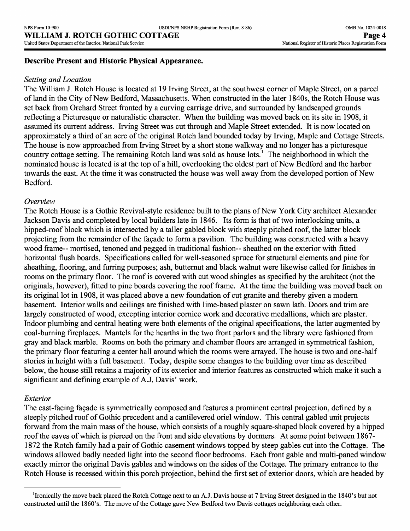#### **Describe Present and Historic Physical Appearance.**

#### *Setting and Location*

The William J. Rotch House is located at 19 Irving Street, at the southwest corner of Maple Street, on a parcel of land in the City of New Bedford, Massachusetts. When constructed in the later 1840s, the Rotch House was set back from Orchard Street fronted by a curving carriage drive, and surrounded by landscaped grounds reflecting a Picturesque or naturalistic character. When the building was moved back on its site in 1908, it assumed its current address. Irving Street was cut through and Maple Street extended. It is now located on approximately a third of an acre of the original Rotch land bounded today by Irving, Maple and Cottage Streets. The house is now approached from Irving Street by a short stone walkway and no longer has a picturesque country cottage setting. The remaining Rotch land was sold as house lots.<sup>1</sup> The neighborhood in which the nominated house is located is at the top of a hill, overlooking the oldest part of New Bedford and the harbor towards the east. At the time it was constructed the house was well away from the developed portion of New Bedford.

#### *Overview*

The Rotch House is a Gothic Revival-style residence built to the plans of New York City architect Alexander Jackson Davis and completed by local builders late in 1846. Its form is that of two interlocking units, a hipped-roof block which is intersected by a taller gabled block with steeply pitched roof, the latter block projecting from the remainder of the fagade to form a pavilion. The building was constructed with a heavy wood frame— mortised, tenoned and pegged in traditional fashion— sheathed on the exterior with fitted horizontal flush boards. Specifications called for well-seasoned spruce for structural elements and pine for sheathing, flooring, and furring purposes; ash, butternut and black walnut were likewise called for finishes in rooms on the primary floor. The roof is covered with cut wood shingles as specified by the architect (not the originals, however), fitted to pine boards covering the roof frame. At the time the building was moved back on its original lot in 1908, it was placed above a new foundation of cut granite and thereby given a modern basement. Interior walls and ceilings are finished with lime-based plaster on sawn lath. Doors and trim are largely constructed of wood, excepting interior cornice work and decorative medallions, which are plaster. Indoor plumbing and central heating were both elements of the original specifications, the latter augmented by coal-burning fireplaces. Mantels for the hearths in the two front parlors and the library were fashioned from gray and black marble. Rooms on both the primary and chamber floors are arranged in symmetrical fashion, the primary floor featuring a center hall around which the rooms were arrayed. The house is two and one-half stories in height with a full basement. Today, despite some changes to the building over time as described below, the house still retains a majority of its exterior and interior features as constructed which make it such a significant and defining example of AJ. Davis' work.

#### *Exterior*

The east-facing fagade is symmetrically composed and features a prominent central projection, defined by a steeply pitched roof of Gothic precedent and a cantilevered oriel window. This central gabled unit projects forward from the main mass of the house, which consists of a roughly square-shaped block covered by a hipped roof the eaves of which is pierced on the front and side elevations by dormers. At some point between 1867- 1872 the Rotch family had a pair of Gothic casement windows topped by steep gables cut into the Cottage. The windows allowed badly needed light into the second floor bedrooms. Each front gable and multi-paned window exactly mirror the original Davis gables and windows on the sides of the Cottage. The primary entrance to the Rotch House is recessed within this porch projection, behind the first set of exterior doors, which are headed by

<sup>&</sup>lt;sup>1</sup>Ironically the move back placed the Rotch Cottage next to an A.J. Davis house at 7 Irving Street designed in the 1840's but not constructed until the 1860's. The move of the Cottage gave New Bedford two Davis cottages neighboring each other.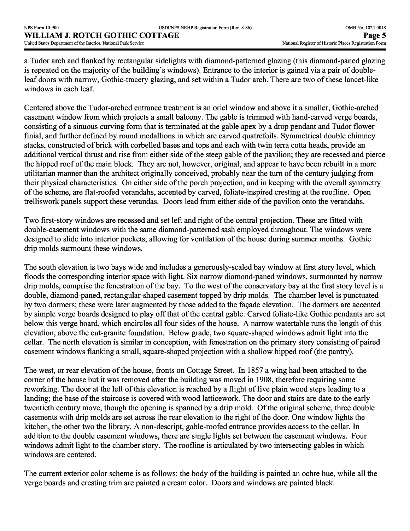a Tudor arch and flanked by rectangular sidelights with diamond-patterned glazing (this diamond-paned glazing is repeated on the majority of the building's windows). Entrance to the interior is gained via a pair of doubleleaf doors with narrow, Gothic-tracery glazing, and set within a Tudor arch. There are two of these lancet-like windows in each leaf.

Centered above the Tudor-arched entrance treatment is an oriel window and above it a smaller, Gothic-arched casement window from which projects a small balcony. The gable is trimmed with hand-carved verge boards, consisting of a sinuous curving form that is terminated at the gable apex by a drop pendant and Tudor flower finial, and further defined by round medallions in which are carved quatrefoils. Symmetrical double chimney stacks, constructed of brick with corbelled bases and tops and each with twin terra cotta heads, provide an additional vertical thrust and rise from either side of the steep gable of the pavilion; they are recessed and pierce the hipped roof of the main block. They are not, however, original, and appear to have been rebuilt in a more utilitarian manner than the architect originally conceived, probably near the turn of the century judging from their physical characteristics. On either side of the porch projection, and in keeping with the overall symmetry of the scheme, are flat-roofed verandahs, accented by carved, foliate-inspired cresting at the roofline. Open trelliswork panels support these verandas. Doors lead from either side of the pavilion onto the verandahs.

Two first-story windows are recessed and set left and right of the central projection. These are fitted with double-casement windows with the same diamond-patterned sash employed throughout. The windows were designed to slide into interior pockets, allowing for ventilation of the house during summer months. Gothic drip molds surmount these windows.

The south elevation is two bays wide and includes a generously-scaled bay window at first story level, which floods the corresponding interior space with light. Six narrow diamond-paned windows, surmounted by narrow drip molds, comprise the fenestration of the bay. To the west of the conservatory bay at the first story level is a double, diamond-paned, rectangular-shaped casement topped by drip molds. The chamber level is punctuated by two dormers; these were later augmented by those added to the façade elevation. The dormers are accented by simple verge boards designed to play off that of the central gable. Carved foliate-like Gothic pendants are set below this verge board, which encircles all four sides of the house. A narrow watertable runs the length of this elevation, above the cut-granite foundation. Below grade, two square-shaped windows admit light into the cellar. The north elevation is similar in conception, with fenestration on the primary story consisting of paired casement windows flanking a small, square-shaped projection with a shallow hipped roof (the pantry).

The west, or rear elevation of the house, fronts on Cottage Street. In 1857 a wing had been attached to the corner of the house but it was removed after the building was moved in 1908, therefore requiring some reworking. The door at the left of this elevation is reached by a flight of five plain wood steps leading to a landing; the base of the staircase is covered with wood latticework. The door and stairs are date to the early twentieth century move, though the opening is spanned by a drip mold. Of the original scheme, three double casements with drip molds are set across the rear elevation to the right of the door. One window lights the kitchen, the other two the library. A non-descript, gable-roofed entrance provides access to the cellar. In addition to the double casement windows, there are single lights set between the casement windows. Four windows admit light to the chamber story. The roofline is articulated by two intersecting gables in which windows are centered.

The current exterior color scheme is as follows: the body of the building is painted an ochre hue, while all the verge boards and cresting trim are painted a cream color. Doors and windows are painted black.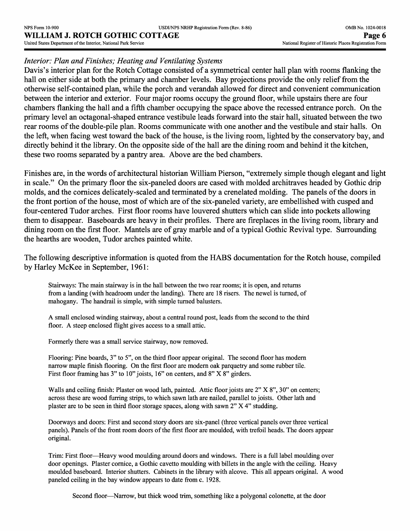#### *Interior: Plan and Finishes; Heating and Ventilating Systems*

Davis's interior plan for the Rotch Cottage consisted of a symmetrical center hall plan with rooms flanking the hall on either side at both the primary and chamber levels. Bay projections provide the only relief from the otherwise self-contained plan, while the porch and verandah allowed for direct and convenient communication between the interior and exterior. Four major rooms occupy the ground floor, while upstairs there are four chambers flanking the hall and a fifth chamber occupying the space above the recessed entrance porch. On the primary level an octagonal-shaped entrance vestibule leads forward into the stair hall, situated between the two rear rooms of the double-pile plan. Rooms communicate with one another and the vestibule and stair halls. On the left, when facing west toward the back of the house, is the living room, lighted by the conservatory bay, and directly behind it the library. On the opposite side of the hall are the dining room and behind it the kitchen, these two rooms separated by a pantry area. Above are the bed chambers.

Finishes are, in the words of architectural historian William Pierson, "extremely simple though elegant and light in scale." On the primary floor the six-paneled doors are cased with molded architraves headed by Gothic drip molds, and the cornices delicately-scaled and terminated by a crenelated molding. The panels of the doors in the front portion of the house, most of which are of the six-paneled variety, are embellished with cusped and four-centered Tudor arches. First floor rooms have louvered shutters which can slide into pockets allowing them to disappear. Baseboards are heavy in their profiles. There are fireplaces in the living room, library and dining room on the first floor. Mantels are of gray marble and of a typical Gothic Revival type. Surrounding the hearths are wooden, Tudor arches painted white.

The following descriptive information is quoted from the HABS documentation for the Rotch house, compiled by Harley McKee in September, 1961:

Stairways: The main stairway is in the hall between the two rear rooms; it is open, and returns from a landing (with headroom under the landing). There are 18 risers. The newel is turned, of mahogany. The handrail is simple, with simple turned balusters.

A small enclosed winding stairway, about a central round post, leads from the second to the third floor. A steep enclosed flight gives access to a small attic.

Formerly there was a small service stairway, now removed.

Flooring: Pine boards, 3" to 5", on the third floor appear original. The second floor has modern narrow maple finish flooring. On the first floor are modern oak parquetry and some rubber tile. First floor framing has 3" to 10" joists, 16" on centers, and 8" X 8" girders.

Walls and ceiling finish: Plaster on wood lath, painted. Attic floor joists are 2" X 8", 30" on centers; across these are wood furring strips, to which sawn lath are nailed, parallel to joists. Other lath and plaster are to be seen in third floor storage spaces, along with sawn 2" X 4" studding.

Doorways and doors: First and second story doors are six-panel (three vertical panels over three vertical panels). Panels of the front room doors of the first floor are moulded, with trefoil heads. The doors appear original.

Trim: First floor—Heavy wood moulding around doors and windows. There is a full label moulding over door openings. Plaster cornice, a Gothic cavetto moulding with billets in the angle with the ceiling. Heavy moulded baseboard. Interior shutters. Cabinets in the library with alcove. This all appears original. A wood paneled ceiling in the bay window appears to date from c. 1928.

Second floor—Narrow, but thick wood trim, something like a polygonal colonette, at the door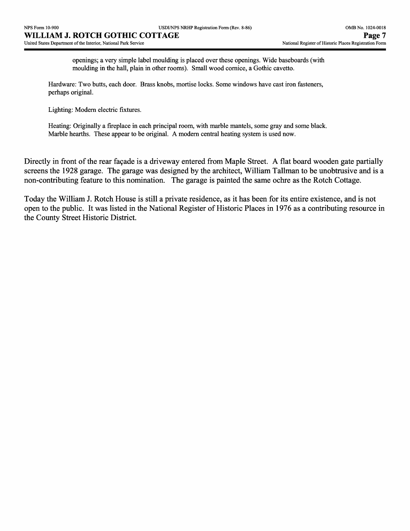openings; a very simple label moulding is placed over these openings. Wide baseboards (with moulding in the hall, plain in other rooms). Small wood cornice, a Gothic cavetto.

Hardware: Two butts, each door. Brass knobs, mortise locks. Some windows have cast iron fasteners, perhaps original.

Lighting: Modern electric fixtures.

Heating: Originally a fireplace in each principal room, with marble mantels, some gray and some black. Marble hearths. These appear to be original. A modern central heating system is used now.

Directly in front of the rear façade is a driveway entered from Maple Street. A flat board wooden gate partially screens the 1928 garage. The garage was designed by the architect, William Tallman to be unobtrusive and is a non-contributing feature to this nomination. The garage is painted the same ochre as the Rotch Cottage.

Today the William J. Rotch House is still a private residence, as it has been for its entire existence, and is not open to the public. It was listed in the National Register of Historic Places in 1976 as a contributing resource in the County Street Historic District.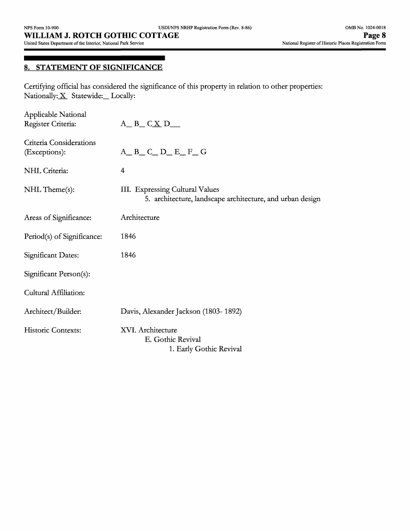# **8. STATEMENT OF SIGNIFICANCE**

Certifying official has considered the significance of this property in relation to other properties: Nationally: $\underline{X}$  Statewide: Locally:

| Applicable National<br>Register Criteria: | $A$ <sub>_</sub> B_ C <u>X</u> D__                                                           |
|-------------------------------------------|----------------------------------------------------------------------------------------------|
| Criteria Considerations<br>(Exceptions):  | $A$ <sub><math>B</math></sub> $C$ $D$ <sub><math>E</math></sub> $F$ $G$                      |
| NHL Criteria:                             | 4                                                                                            |
| NHL Theme(s):                             | III. Expressing Cultural Values<br>5. architecture, landscape architecture, and urban design |
| Areas of Significance:                    | Architecture                                                                                 |
| Period(s) of Significance:                | 1846                                                                                         |
| Significant Dates:                        | 1846                                                                                         |
| Significant Person(s):                    |                                                                                              |
| Cultural Affiliation:                     |                                                                                              |
| Architect/Builder:                        | Davis, Alexander Jackson (1803-1892)                                                         |
| Historic Contexts:                        | XVI. Architecture<br>E. Gothic Revival<br>1. Early Gothic Revival                            |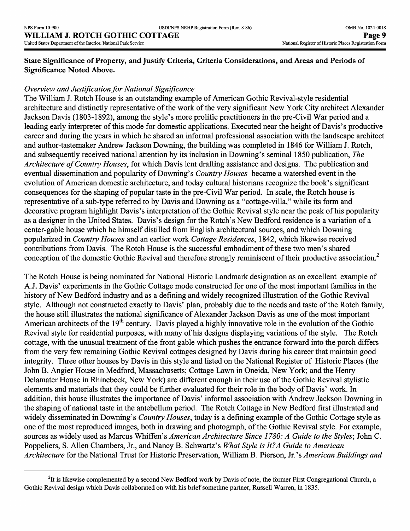**State Significance of Property, and Justify Criteria, Criteria Considerations, and Areas and Periods of Significance Noted Above.**

## *Overview and Justification for National Significance*

The William J. Rotch House is an outstanding example of American Gothic Revival-style residential architecture and distinctly representative of the work of the very significant New York City architect Alexander Jackson Davis (1803-1892), among the style's more prolific practitioners in the pre-Civil War period and a leading early interpreter of this mode for domestic applications. Executed near the height of Davis's productive career and during the years in which he shared an informal professional association with the landscape architect and author-tastemaker Andrew Jackson Downing, the building was completed in 1846 for William J. Rotch, and subsequently received national attention by its inclusion in Downing's seminal 1850 publication, *The Architecture of Country Houses,* for which Davis lent drafting assistance and designs. The publication and eventual dissemination and popularity of Downing's *Country Houses* became a watershed event in the evolution of American domestic architecture, and today cultural historians recognize the book's significant consequences for the shaping of popular taste in the pre-Civil War period. In scale, the Rotch house is representative of a sub-type referred to by Davis and Downing as a "cottage-villa," while its form and decorative program highlight Davis's interpretation of the Gothic Revival style near the peak of his popularity as a designer in the United States. Davis's design for the Rotch's New Bedford residence is a variation of a center-gable house which he himself distilled from English architectural sources, and which Downing popularized in *Country Houses* and an earlier work *Cottage Residences,* 1842, which likewise received contributions from Davis. The Rotch House is the successful embodiment of these two men's shared *f\* conception of the domestic Gothic Revival and therefore strongly reminiscent of their productive association.<sup>2</sup>

The Rotch House is being nominated for National Historic Landmark designation as an excellent example of A.J. Davis' experiments in the Gothic Cottage mode constructed for one of the most important families in the history of New Bedford industry and as a defining and widely recognized illustration of the Gothic Revival style. Although not constructed exactly to Davis' plan, probably due to the needs and taste of the Rotch family, the house still illustrates the national significance of Alexander Jackson Davis as one of the most important American architects of the 19<sup>th</sup> century. Davis played a highly innovative role in the evolution of the Gothic Revival style for residential purposes, with many of his designs displaying variations of the style. The Rotch cottage, with the unusual treatment of the front gable which pushes the entrance forward into the porch differs from the very few remaining Gothic Revival cottages designed by Davis during his career that maintain good integrity. Three other houses by Davis in this style and listed on the National Register of Historic Places (the John B. Angier House in Medford, Massachusetts; Cottage Lawn in Oneida, New York; and the Henry Delamater House in Rhinebeck, New York) are different enough in their use of the Gothic Revival stylistic elements and materials that they could be further evaluated for their role in the body of Davis' work. In addition, this house illustrates the importance of Davis' informal association with Andrew Jackson Downing in the shaping of national taste in the antebellum period. The Rotch Cottage in New Bedford first illustrated and widely disseminated in Downing's *Country Houses,* today is a defining example of the Gothic Cottage style as one of the most reproduced images, both in drawing and photograph, of the Gothic Revival style. For example, sources as widely used as Marcus Whiffen's *American Architecture Since 1780: A Guide to the Styles;* John C. Poppeliers, S. Alien Chambers, Jr., and Nancy B. Schwartz's *What Style is It?A Guide to American Architecture* for the National Trust for Historic Preservation, William B. Pierson, Jr.'s *American Buildings and*

<sup>&</sup>lt;sup>2</sup>It is likewise complemented by a second New Bedford work by Davis of note, the former First Congregational Church, a Gothic Revival design which Davis collaborated on with his brief sometime partner, Russell Warren, in 1835.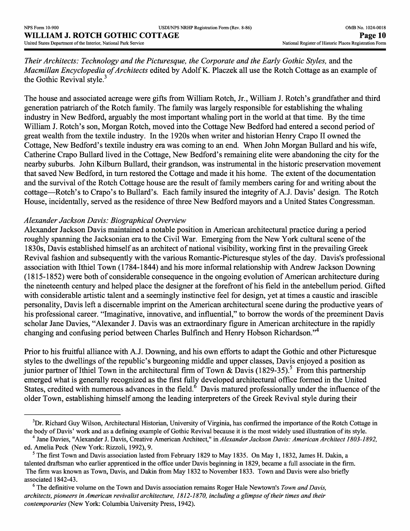*Their Architects: Technology and the Picturesque, the Corporate and the Early Gothic Styles,* and the *Macmillan Encyclopedia of Architects* edited by Adolf K. Placzek all use the Rotch Cottage as an example of the Gothic Revival style.<sup>3</sup>

The house and associated acreage were gifts from William Rotch, Jr., William J. Rotch's grandfather and third generation patriarch of the Rotch family. The family was largely responsible for establishing the whaling industry in New Bedford, arguably the most important whaling port in the world at that time. By the time William J. Rotch's son, Morgan Rotch, moved into the Cottage New Bedford had entered a second period of great wealth from the textile industry. In the 1920s when writer and historian Henry Crapo II owned the Cottage, New Bedford's textile industry era was coming to an end. When John Morgan Bullard and his wife, Catherine Crapo Bullard lived in the Cottage, New Bedford's remaining elite were abandoning the city for the nearby suburbs. John Kilburn Bullard, their grandson, was instrumental in the historic preservation movement that saved New Bedford, in turn restored the Cottage and made it his home. The extent of the documentation and the survival of the Rotch Cottage house are the result of family members caring for and writing about the cottage—Rotch's to Crapo's to Bullard's. Each family insured the integrity of A.J. Davis' design. The Rotch House, incidentally, served as the residence of three New Bedford mayors and a United States Congressman.

#### *Alexander Jackson Davis: Biographical Overview*

Alexander Jackson Davis maintained a notable position in American architectural practice during a period roughly spanning the Jacksonian era to the Civil War. Emerging from the New York cultural scene of the 1830s, Davis established himself as an architect of national visibility, working first in the prevailing Greek Revival fashion and subsequently with the various Romantic-Picturesque styles of the day. Davis's professional association with Ithiel Town (1784-1844) and his more informal relationship with Andrew Jackson Downing (1815-1852) were both of considerable consequence in the ongoing evolution of American architecture during the nineteenth century and helped place the designer at the forefront of his field in the antebellum period. Gifted with considerable artistic talent and a seemingly instinctive feel for design, yet at times a caustic and irascible personality, Davis left a discernable imprint on the American architectural scene during the productive years of his professional career. "Imaginative, innovative, and influential," to borrow the words of the preeminent Davis scholar Jane Davies, "Alexander J. Davis was an extraordinary figure in American architecture in the rapidly changing and confusing period between Charles Bulfinch and Henry Hobson Richardson."4

Prior to his fruitful alliance with A.J. Downing, and his own efforts to adapt the Gothic and other Picturesque styles to the dwellings of the republic's burgeoning middle and upper classes, Davis enjoyed a position as junior partner of Ithiel Town in the architectural firm of Town & Davis (1829-35).<sup>5</sup> From this partnership emerged what is generally recognized as the first fully developed architectural office formed in the United States, credited with numerous advances in the field.<sup>6</sup> Davis matured professionally under the influence of the older Town, establishing himself among the leading interpreters of the Greek Revival style during their

<sup>&</sup>lt;sup>3</sup>Dr. Richard Guy Wilson, Architectural Historian, University of Virginia, has confirmed the importance of the Rotch Cottage in the body of Davis' work and as a defining example of Gothic Revival because it is the most widely used illustration of its style.

<sup>4</sup> Jane Davies, "Alexander J. Davis, Creative American Architect," in *Alexander Jackson Davis: American Architect 1803-1892,*  ed. Amelia Peck (New York: Rizzoli, 1992), 9.

<sup>&</sup>lt;sup>5</sup> The first Town and Davis association lasted from February 1829 to May 1835. On May 1, 1832, James H. Dakin, a talented draftsman who earlier apprenticed in the office under Davis beginning in 1829, became a full associate in the firm. The firm was known as Town, Davis, and Dakin from May 1832 to November 1833. Town and Davis were also briefly associated 1842-43.

<sup>6</sup> The definitive volume on the Town and Davis association remains Roger Hale Newtown's *Town and Davis, architects, pioneers in American revivalist architecture, 1812-1870, including a glimpse of their times and their contemporaries* (New York: Columbia University Press, 1942).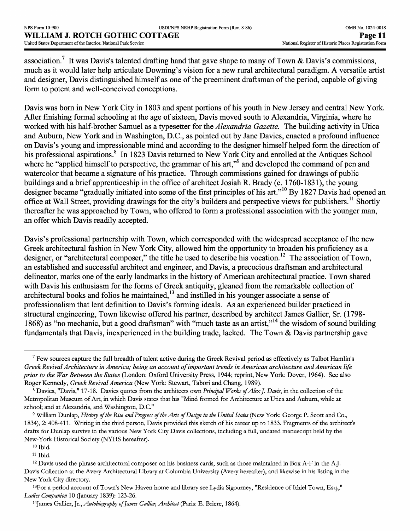association.<sup>7</sup> It was Davis's talented drafting hand that gave shape to many of Town & Davis's commissions, much as it would later help articulate Downing's vision for a new rural architectural paradigm. A versatile artist and designer, Davis distinguished himself as one of the preeminent draftsman of the period, capable of giving form to potent and well-conceived conceptions.

Davis was born in New York City in 1803 and spent portions of his youth in New Jersey and central New York. After finishing formal schooling at the age of sixteen, Davis moved south to Alexandria, Virginia, where he worked with his half-brother Samuel as a typesetter for the *Alexandria Gazette.* The building activity in Utica and Auburn, New York and in Washington, D.C., as pointed out by Jane Davies, enacted a profound influence on Davis's young and impressionable mind and according to the designer himself helped form the direction of his professional aspirations.<sup>8</sup> In 1823 Davis returned to New York City and enrolled at the Antiques School where he "applied himself to perspective, the grammar of his art,"<sup>9</sup> and developed the command of pen and watercolor that became a signature of his practice. Through commissions gained for drawings of public buildings and a brief apprenticeship in the office of architect Josiah R. Brady (c. 1760-1831), the young designer became "gradually initiated into some of the first principles of his art."<sup>10</sup> By 1827 Davis had opened an office at Wall Street, providing drawings for the city's builders and perspective views for publishers.<sup>11</sup> Shortly thereafter he was approached by Town, who offered to form a professional association with the younger man, an offer which Davis readily accepted.

Davis's professional partnership with Town, which corresponded with the widespread acceptance of the new Greek architectural fashion in New York City, allowed him the opportunity to broaden his proficiency as a designer, or "architectural composer," the title he used to describe his vocation.<sup>12</sup> The association of Town, an established and successful architect and engineer, and Davis, a precocious draftsman and architectural delineator, marks one of the early landmarks in the history of American architectural practice. Town shared with Davis his enthusiasm for the forms of Greek antiquity, gleaned from the remarkable collection of architectural books and folios he maintained, $^{13}$  and instilled in his younger associate a sense of professionalism that lent definition to Davis's forming ideals. As an experienced builder practiced in structural engineering, Town likewise offered his partner, described by architect James Gallier, Sr. (1798- 1868) as "no mechanic, but a good draftsman" with "much taste as an artist,"<sup>14</sup> the wisdom of sound building fundamentals that Davis, inexperienced in the building trade, lacked. The Town & Davis partnership gave

13For a period account of Town's New Haven home and library see Lydia Sigourney, "Residence of Ithiel Town, Esq.," *Ladies Companion* 10 (January 1839): 123-26.

 $<sup>7</sup>$  Few sources capture the full breadth of talent active during the Greek Revival period as effectively as Talbot Hamlin's</sup> *Greek Revival Architecture in America; being an account of important trends in American architecture and American life prior to the War Between the States* (London: Oxford University Press, 1944; reprint, New York: Dover, 1964). See also Roger Kennedy, *Greek Revival America* (New York: Stewart, Tabori and Chang, 1989).

<sup>8</sup> Davies, "Davis," 17-18. Davies quotes from the architects own *Principal Works ofAlexJ. Davis,* in the collection of the Metropolitan Museum of Art, in which Davis states that his "Mind formed for Architecture at Utica and Auburn, while at school; and at Alexandria, and Washington, D.C."

<sup>9</sup> William Dunlap, *History of the Rise and Progress of the Arts of Design in the United States* (New York: George P. Scott and Co., 1834), 2: 408-411. Writing in the third person, Davis provided this sketch of his career up to 1833. Fragments of the architect's drafts for Dunlap survive in the various New York City Davis collections, including a full, undated manuscript held by the New-York Historical Society (NYHS hereafter).

<sup>10</sup> Ibid.

<sup>11</sup> Ibid.

<sup>12</sup> Davis used the phrase architectural composer on his business cards, such as those maintained in Box A-F in the A.J. Davis Collection at the Avery Architectural Library at Columbia University (Avery hereafter), and likewise in his listing in the New York City directory.

<sup>14</sup>James Gallier, Jr., *Autobiography of James Gallier, Architect* (Paris: E. Briere, 1864).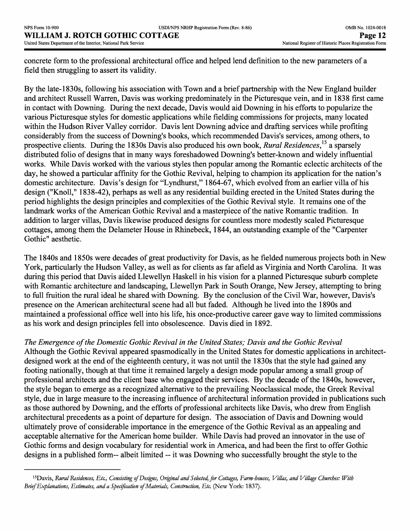concrete form to the professional architectural office and helped lend definition to the new parameters of a field then struggling to assert its validity.

By the late-1830s, following his association with Town and a brief partnership with the New England builder and architect Russell Warren, Davis was working predominately in the Picturesque vein, and in 1838 first came in contact with Downing. During the next decade, Davis would aid Downing in his efforts to popularize the various Picturesque styles for domestic applications while fielding commissions for projects, many located within the Hudson River Valley corridor. Davis lent Downing advice and drafting services while profiting considerably from the success of Downing's books, which recommended Davis's services, among others, to prospective clients. During the 1830s Davis also produced his own book, *Rural Residences*,<sup>15</sup> a sparsely distributed folio of designs that in many ways foreshadowed Downing's better-known and widely influential works. While Davis worked with the various styles then popular among the Romantic eclectic architects of the day, he showed a particular affinity for the Gothic Revival, helping to champion its application for the nation's domestic architecture. Davis's design for "Lyndhurst," 1864-67, which evolved from an earlier villa of his design ("Knoll," 1838-42), perhaps as well as any residential building erected in the United States during the period highlights the design principles and complexities of the Gothic Revival style. It remains one of the landmark works of the American Gothic Revival and a masterpiece of the native Romantic tradition. In addition to larger villas, Davis likewise produced designs for countless more modestly scaled Picturesque cottages, among them the Delameter House in Rhinebeck, 1844, an outstanding example of the "Carpenter Gothic" aesthetic.

The 1840s and 1850s were decades of great productivity for Davis, as he fielded numerous projects both in New York, particularly the Hudson Valley, as well as for clients as far afield as Virginia and North Carolina. It was during this period that Davis aided Llewellyn Haskell in his vision for a planned Picturesque suburb complete with Romantic architecture and landscaping, Llewellyn Park in South Orange, New Jersey, attempting to bring to full fruition the rural ideal he shared with Downing. By the conclusion of the Civil War, however, Davis's presence on the American architectural scene had all but faded. Although he lived into the 1890s and maintained a professional office well into his life, his once-productive career gave way to limited commissions as his work and design principles fell into obsolescence. Davis died in 1892.

*The Emergence of the Domestic Gothic Revival in the United States; Davis and the Gothic Revival* 

Although the Gothic Revival appeared spasmodically in the United States for domestic applications in architectdesigned work at the end of the eighteenth century, it was not until the 1830s that the style had gained any footing nationally, though at that time it remained largely a design mode popular among a small group of professional architects and the client base who engaged their services. By the decade of the 1840s, however, the style began to emerge as a recognized alternative to the prevailing Neoclassical mode, the Greek Revival style, due in large measure to the increasing influence of architectural information provided in publications such as those authored by Downing, and the efforts of professional architects like Davis, who drew from English architectural precedents as a point of departure for design. The association of Davis and Downing would ultimately prove of considerable importance in the emergence of the Gothic Revival as an appealing and acceptable alternative for the American home builder. While Davis had proved an innovator in the use of Gothic forms and design vocabulary for residential work in America, and had been the first to offer Gothic designs in a published form— albeit limited — it was Downing who successfully brought the style to the

<sup>15</sup>Davis, *Rural Residences, Etc., Consisting of Designs, Original and Selected, for Cottages, Farm-houses, Villas, and Village Churches: With Brief Explanations, Estimates, and a Specification of Materials, Construction, Etc.* (New York: 1837).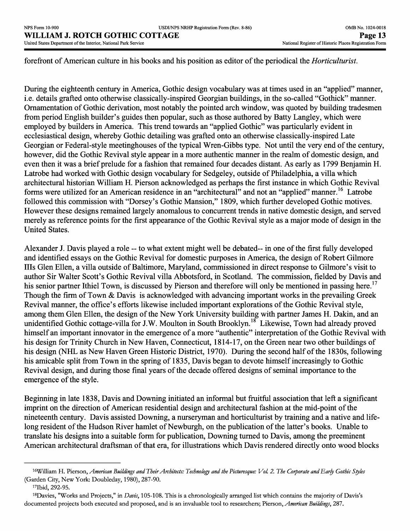forefront of American culture in his books and his position as editor of the periodical the *Horticulturist.*

During the eighteenth century in America, Gothic design vocabulary was at times used in an "applied" manner, i.e. details grafted onto otherwise classically-inspired Georgian buildings, in the so-called "Gothick" manner. Ornamentation of Gothic derivation, most notably the pointed arch window, was quoted by building tradesmen from period English builder's guides then popular, such as those authored by Batty Langley, which were employed by builders in America. This trend towards an "applied Gothic" was particularly evident in ecclesiastical design, whereby Gothic detailing was grafted onto an otherwise classically-inspired Late Georgian or Federal-style meetinghouses of the typical Wren-Gibbs type. Not until the very end of the century, however, did the Gothic Revival style appear in a more authentic manner in the realm of domestic design, and even then it was a brief prelude for a fashion that remained four decades distant. As early as 1799 Benjamin H. Latrobe had worked with Gothic design vocabulary for Sedgeley, outside of Philadelphia, a villa which architectural historian William H. Pierson acknowledged as perhaps the first instance in which Gothic Revival forms were utilized for an American residence in an "architectural" and not an "applied" manner.<sup>16</sup> Latrobe followed this commission with "Dorsey's Gothic Mansion," 1809, which further developed Gothic motives. However these designs remained largely anomalous to concurrent trends in native domestic design, and served merely as reference points for the first appearance of the Gothic Revival style as a major mode of design in the United States.

Alexander J. Davis played a role -- to what extent might well be debated-- in one of the first fully developed and identified essays on the Gothic Revival for domestic purposes in America, the design of Robert Gilmore Ills Glen Ellen, a villa outside of Baltimore, Maryland, commissioned in direct response to Gilmore's visit to author Sir Walter Scott's Gothic Revival villa Abbotsford, in Scotland. The commission, fielded by Davis and his senior partner Ithiel Town, is discussed by Pierson and therefore will only be mentioned in passing here.<sup>17</sup> Though the firm of Town & Davis is acknowledged with advancing important works in the prevailing Greek Revival manner, the office's efforts likewise included important explorations of the Gothic Revival style, among them Glen Ellen, the design of the New York University building with partner James H. Dakin, and an unidentified Gothic cottage-villa for J.W. Moulton in South Brooklyn.<sup>18</sup> Likewise, Town had already proved himself an important innovator in the emergence of a more "authentic" interpretation of the Gothic Revival with his design for Trinity Church in New Haven, Connecticut, 1814-17, on the Green near two other buildings of his design (NHL as New Haven Green Historic District, 1970). During the second half of the 1830s, following his amicable split from Town in the spring of 1835, Davis began to devote himself increasingly to Gothic Revival design, and during those final years of the decade offered designs of seminal importance to the emergence of the style.

Beginning in late 1838, Davis and Downing initiated an informal but fruitful association that left a significant imprint on the direction of American residential design and architectural fashion at the mid-point of the nineteenth century. Davis assisted Downing, a nurseryman and horticulturist by training and a native and lifelong resident of the Hudson River hamlet of Newburgh, on the publication of the latter's books. Unable to translate his designs into a suitable form for publication, Downing turned to Davis, among the preeminent American architectural draftsman of that era, for illustrations which Davis rendered directly onto wood blocks

<sup>16</sup>WHliam H. Pierson, *American Buildings and Their Architects: Technology and the Picturesque: Vol. 2. The Corporate and Early Gothic Styles*  (Garden City, New York: Doubleday, 1980), 287-90.

<sup>17</sup>Ibid, 292-95.

<sup>18</sup>Davies, "Works and Projects," in *Davis,* 105-108. This is a chronologically arranged list which contains the majority of Davis's documented projects both executed and proposed, and is an invaluable tool to researchers; Pierson, *American Buildings,* 287.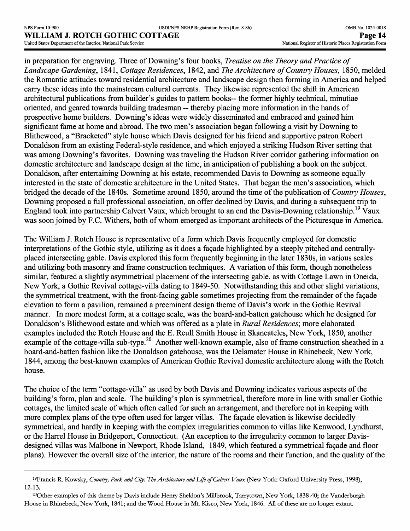in preparation for engraving. Three of Downing's four books, *Treatise on the Theory and Practice of Landscape Gardening,* 1841, *Cottage Residences,* 1842, and *The Architecture of Country Houses,* 1850, melded the Romantic attitudes toward residential architecture and landscape design then forming in America and helped carry these ideas into the mainstream cultural currents. They likewise represented the shift in American architectural publications from builder's guides to pattern books— the former highly technical, minutiae oriented, and geared towards building tradesman -- thereby placing more information in the hands of prospective home builders. Downing's ideas were widely disseminated and embraced and gained him significant fame at home and abroad. The two men's association began following a visit by Downing to Blithewood, a "Bracketed" style house which Davis designed for his friend and supportive patron Robert Donaldson from an existing Federal-style residence, and which enjoyed a striking Hudson River setting that was among Downing's favorites. Downing was traveling the Hudson River corridor gathering information on domestic architecture and landscape design at the time, in anticipation of publishing a book on the subject. Donaldson, after entertaining Downing at his estate, recommended Davis to Downing as someone equally interested in the state of domestic architecture in the United States. That began the men's association, which bridged the decade of the 1840s. Sometime around 1850, around the time of the publication of *Country Houses,*  Downing proposed a full professional association, an offer declined by Davis, and during a subsequent trip to England took into partnership Calvert Vaux, which brought to an end the Davis-Downing relationship.<sup>19</sup> Vaux was soon joined by F.C. Withers, both of whom emerged as important architects of the Picturesque in America.

The William J. Rotch House is representative of a form which Davis frequently employed for domestic interpretations of the Gothic style, utilizing as it does a facade highlighted by a steeply pitched and centrallyplaced intersecting gable. Davis explored this form frequently beginning in the later 1830s, in various scales and utilizing both masonry and frame construction techniques. A variation of this form, though nonetheless similar, featured a slightly asymmetrical placement of the intersecting gable, as with Cottage Lawn in Oneida, New York, a Gothic Revival cottage-villa dating to 1849-50. Notwithstanding this and other slight variations, the symmetrical treatment, with the front-facing gable sometimes projecting from the remainder of the facade elevation to form a pavilion, remained a preeminent design theme of Davis's work in the Gothic Revival manner. In more modest form, at a cottage scale, was the board-and-batten gatehouse which he designed for Donaldson's Blithewood estate and which was offered as a plate in *Rural Residences',* more elaborated examples included the Rotch House and the E. Reull Smith House in Skaneateles, New York, 1850, another example of the cottage-villa sub-type.<sup>20</sup> Another well-known example, also of frame construction sheathed in a board-and-batten fashion like the Donaldson gatehouse, was the Delamater House in Rhinebeck, New York, 1844, among the best-known examples of American Gothic Revival domestic architecture along with the Rotch house.

The choice of the term "cottage-villa" as used by both Davis and Downing indicates various aspects of the building's form, plan and scale. The building's plan is symmetrical, therefore more in line with smaller Gothic cottages, the limited scale of which often called for such an arrangement, and therefore not in keeping with more complex plans of the type often used for larger villas. The facade elevation is likewise decidedly symmetrical, and hardly in keeping with the complex irregularities common to villas like Kenwood, Lyndhurst, or the Harrel House in Bridgeport, Connecticut. (An exception to the irregularity common to larger Davisdesigned villas was Malbone in Newport, Rhode Island, 1849, which featured a symmetrical facade and floor plans). However the overall size of the interior, the nature of the rooms and their function, and the quality of the

<sup>&</sup>lt;sup>19</sup>Francis R. Kowsky, *Country, Park and City: The Architecture and Life of Calvert Vaux* (New York: Oxford University Press, 1998), 12-13.

<sup>20</sup>Other examples of this theme by Davis include Henry Sheldon's Millbrook, Tarrytown, New York, 1838-40; the Vanderburgh House in Rhinebeck, New York, 1841; and the Wood House in Mt. Kisco, New York, 1846. All of these are no longer extant.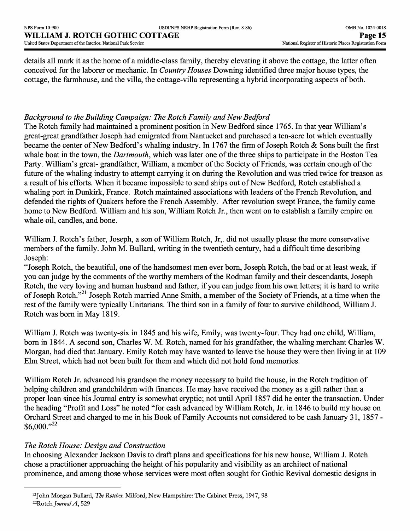details all mark it as the home of a middle-class family, thereby elevating it above the cottage, the latter often conceived for the laborer or mechanic. In *Country Houses* Downing identified three major house types, the cottage, the farmhouse, and the villa, the cottage-villa representing a hybrid incorporating aspects of both.

# *Background to the Building Campaign: The Rotch Family and New Bedford*

The Rotch family had maintained a prominent position in New Bedford since 1765. In that year William's great-great grandfather Joseph had emigrated from Nantucket and purchased a ten-acre lot which eventually became the center of New Bedford's whaling industry. In 1767 the firm of Joseph Rotch & Sons built the first whale boat in the town, the *Dartmouth,* which was later one of the three ships to participate in the Boston Tea Party. William's great- grandfather, William, a member of the Society of Friends, was certain enough of the future of the whaling industry to attempt carrying it on during the Revolution and was tried twice for treason as a result of his efforts. When it became impossible to send ships out of New Bedford, Rotch established a whaling port in Dunkirk, France. Rotch maintained associations with leaders of the French Revolution, and defended the rights of Quakers before the French Assembly. After revolution swept France, the family came home to New Bedford. William and his son, William Rotch Jr., then went on to establish a family empire on whale oil, candles, and bone.

William J. Rotch's father, Joseph, a son of William Rotch, Jr,. did not usually please the more conservative members of the family. John M. Bullard, writing in the twentieth century, had a difficult time describing Joseph:

"Joseph Rotch, the beautiful, one of the handsomest men ever born, Joseph Rotch, the bad or at least weak, if you can judge by the comments of the worthy members of the Rodman family and their descendants, Joseph Rotch, the very loving and human husband and father, if you can judge from his own letters; it is hard to write of Joseph Rotch."21 Joseph Rotch married Anne Smith, a member of the Society of Friends, at a time when the rest of the family were typically Unitarians. The third son in a family of four to survive childhood, William J. Rotch was born in May 1819.

William J. Rotch was twenty-six in 1845 and his wife, Emily, was twenty-four. They had one child, William, born in 1844. A second son, Charles W. M. Rotch, named for his grandfather, the whaling merchant Charles W. Morgan, had died that January. Emily Rotch may have wanted to leave the house they were then living in at 109 Elm Street, which had not been built for them and which did not hold fond memories.

William Rotch Jr. advanced his grandson the money necessary to build the house, in the Rotch tradition of helping children and grandchildren with finances. He may have received the money as a gift rather than a proper loan since his Journal entry is somewhat cryptic; not until April 1857 did he enter the transaction. Under the heading "Profit and Loss" he noted "for cash advanced by William Rotch, Jr. in 1846 to build my house on Orchard Street and charged to me in his Book of Family Accounts not considered to be cash January 31, 1857 -  $$6,000."^{22}$ 

## *The Rotch House: Design and Construction*

In choosing Alexander Jackson Davis to draft plans and specifications for his new house, William J. Rotch chose a practitioner approaching the height of his popularity and visibility as an architect of national prominence, and among those whose services were most often sought for Gothic Revival domestic designs in

<sup>21</sup>John Morgan Bullard, *The Notches.* Milford, New Hampshire: The Cabinet Press, 1947, 98 22Rotch *journal'A,* 529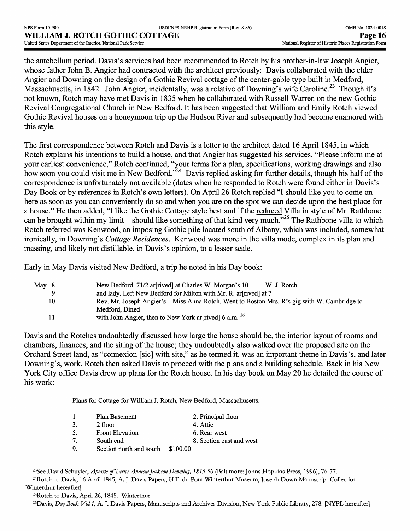the antebellum period. Davis's services had been recommended to Rotch by his brother-in-law Joseph Angier, whose father John B. Angier had contracted with the architect previously: Davis collaborated with the elder Angier and Downing on the design of a Gothic Revival cottage of the center-gable type built in Medford, Massachusetts, in 1842. John Angier, incidentally, was a relative of Downing's wife Caroline.<sup>23</sup> Though it's not known, Rotch may have met Davis in 1835 when he collaborated with Russell Warren on the new Gothic Revival Congregational Church in New Bedford. It has been suggested that William and Emily Rotch viewed Gothic Revival houses on a honeymoon trip up the Hudson River and subsequently had become enamored with this style.

The first correspondence between Rotch and Davis is a letter to the architect dated 16 April 1845, in which Rotch explains his intentions to build a house, and that Angier has suggested his services. "Please inform me at your earliest convenience," Rotch continued, "your terms for a plan, specifications, working drawings and also how soon you could visit me in New Bedford."<sup>24</sup> Davis replied asking for further details, though his half of the correspondence is unfortunately not available (dates when he responded to Rotch were found either in Davis's Day Book or by references in Rotch's own letters). On April 26 Rotch replied "I should like you to come on here as soon as you can conveniently do so and when you are on the spot we can decide upon the best place for a house." He then added, "I like the Gothic Cottage style best and if the reduced Villa in style of Mr. Rathbone can be brought within my limit – should like something of that kind very much."<sup>25</sup> The Rathbone villa to which Rotch referred was Kenwood, an imposing Gothic pile located south of Albany, which was included, somewhat ironically, in Downing's *Cottage Residences.* Kenwood was more in the villa mode, complex in its plan and massing, and likely not distillable, in Davis's opinion, to a lesser scale.

Early in May Davis visited New Bedford, a trip he noted in his Day book:

| May 8 | New Bedford 71/2 are rived at Charles W. Morgan's 10.<br>W. J. Rotch                         |
|-------|----------------------------------------------------------------------------------------------|
|       | and lady. Left New Bedford for Milton with Mr. R. ar [rived] at 7                            |
| 10    | Rev. Mr. Joseph Angier's – Miss Anna Rotch. Went to Boston Mrs. R's gig with W. Cambridge to |
|       | Medford, Dined                                                                               |
|       | with John Angier, then to New York ar[rived] 6 a.m. <sup>26</sup>                            |

Davis and the Rotches undoubtedly discussed how large the house should be, the interior layout of rooms and chambers, finances, and the siting of the house; they undoubtedly also walked over the proposed site on the Orchard Street land, as "connexion [sic] with site," as he termed it, was an important theme in Davis's, and later Downing's, work. Rotch then asked Davis to proceed with the plans and a building schedule. Back in his New York City office Davis drew up plans for the Rotch house. In his day book on May 20 he detailed the course of his work:

Plans for Cottage for William J. Rotch, New Bedford, Massachusetts.

|    | Plan Basement           | 2. Principal floor       |
|----|-------------------------|--------------------------|
| 3. | 2 floor                 | 4. Attic                 |
| 5. | <b>Front Elevation</b>  | 6. Rear west             |
| 7  | South end               | 8. Section east and west |
| 9. | Section north and south | \$100.00                 |
|    |                         |                          |

<sup>&</sup>lt;sup>23</sup>See David Schuyler, *Apostle of Taste: Andrew Jackson Downing*, 1815-50 (Baltimore: Johns Hopkins Press, 1996), 76-77. 24Rotch to Davis, 16 April 1845, A. J. Davis Papers, H.F. du Pont Winterthur Museum, Joseph Down Manuscript Collection. [Winterthur hereafter]

26Davis, *Day Book Vol. 1,* A. J. Davis Papers, Manuscripts and Archives Division, New York Public Library, 278. [NYPL hereafter]

<sup>25</sup>Rotch to Davis, April 26,1845. Winterthur.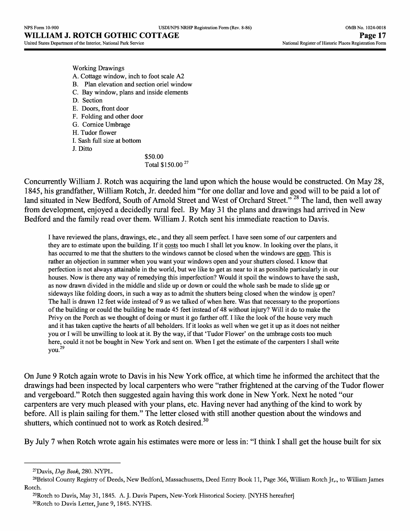Working Drawings A. Cottage window, inch to foot scale A2 B. Plan elevation and section oriel window C. Bay window, plans and inside elements D. Section E. Doors, front door F. Folding and other door G. Cornice Umbrage H. Tudor flower I. Sash full size at bottom J. Ditto

\$50.00 Total \$150.00 <sup>27</sup>

Concurrently William J. Rotch was acquiring the land upon which the house would be constructed. On May 28, 1845, his grandfather, William Rotch, Jr. deeded him "for one dollar and love and good will to be paid a lot of land situated in New Bedford, South of Arnold Street and West of Orchard Street."<sup>28</sup> The land, then well away from development, enjoyed a decidedly rural feel. By May 31 the plans and drawings had arrived in New Bedford and the family read over them. William J. Rotch sent his immediate reaction to Davis.

I have reviewed the plans, drawings, etc., and they all seem perfect. I have seen some of our carpenters and they are to estimate upon the building. If it costs too much I shall let you know. In looking over the plans, it has occurred to me that the shutters to the windows cannot be closed when the windows are open. This is rather an objection in summer when you want your windows open and your shutters closed. I know that perfection is not always attainable in the world, but we like to get as near to it as possible particularly in our houses. Now is there any way of remedying this imperfection? Would it spoil the windows to have the sash, as now drawn divided in the middle and slide up or down or could the whole sash be made to slide up or sideways like folding doors, in such a way as to admit the shutters being closed when the window is open? The hall is drawn 12 feet wide instead of 9 as we talked of when here. Was that necessary to the proportions of the building or could the building be made 45 feet instead of 48 without injury? Will it do to make the Privy on the Porch as we thought of doing or must it go farther off. I like the look of the house very much and it has taken captive the hearts of all beholders. If it looks as well when we get it up as it does not neither you or I will be unwilling to look at it. By the way, if that 'Tudor Flower' on the umbrage costs too much here, could it not be bought in New York and sent on. When I get the estimate of the carpenters I shall write you.29

On June 9 Rotch again wrote to Davis in his New York office, at which time he informed the architect that the drawings had been inspected by local carpenters who were "rather frightened at the carving of the Tudor flower and vergeboard." Rotch then suggested again having this work done in New York. Next he noted "our carpenters are very much pleased with your plans, etc. Having never had anything of the kind to work by before. All is plain sailing for them." The letter closed with still another question about the windows and shutters, which continued not to work as Rotch desired.<sup>30</sup>

By July 7 when Rotch wrote again his estimates were more or less in: "I think I shall get the house built for six

<sup>27</sup>Davis, *Day Book,* 280. NYPL.

<sup>28</sup>Bristol County Registry of Deeds, New Bedford, Massachusetts, Deed Entry Book 11, Page 366, William Rotch Jr,., to William James Rotch.

<sup>29</sup>Rotch to Davis, May 31,1845. A. J. Davis Papers, New-York Historical Society. [NYHS hereafter] 30Rotch to Davis Letter, June 9,1845. NYHS.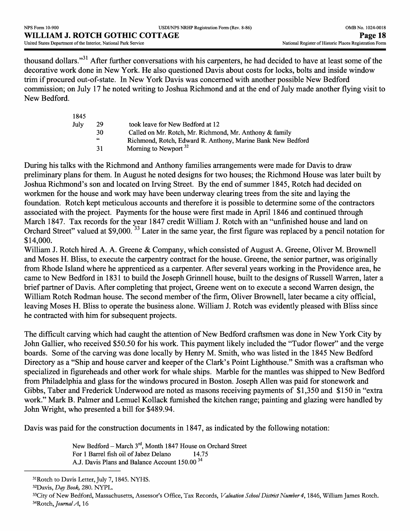thousand dollars."<sup>31</sup> After further conversations with his carpenters, he had decided to have at least some of the decorative work done in New York. He also questioned Davis about costs for locks, bolts and inside window trim if procured out-of-state. In New York Davis was concerned with another possible New Bedford commission; on July 17 he noted writing to Joshua Richmond and at the end of July made another flying visit to New Bedford.

| 29 | took leave for New Bedford at 12                            |
|----|-------------------------------------------------------------|
| 30 | Called on Mr. Rotch, Mr. Richmond, Mr. Anthony & family     |
| 66 | Richmond, Rotch, Edward R. Anthony, Marine Bank New Bedford |
| 31 | Morning to Newport <sup>32</sup>                            |
|    |                                                             |

During his talks with the Richmond and Anthony families arrangements were made for Davis to draw preliminary plans for them. In August he noted designs for two houses; the Richmond House was later built by Joshua Richmond's son and located on Irving Street. By the end of summer 1845, Rotch had decided on workmen for the house and work may have been underway clearing trees from the site and laying the foundation. Rotch kept meticulous accounts and therefore it is possible to determine some of the contractors associated with the project. Payments for the house were first made in April 1846 and continued through March 1847. Tax records for the year 1847 credit William J. Rotch with an "unfinished house and land on Orchard Street" valued at \$9,000.<sup>33</sup> Later in the same year, the first figure was replaced by a pencil notation for \$14,000.

William J. Rotch hired A. A. Greene & Company, which consisted of August A. Greene, Oliver M. Brownell and Moses H. Bliss, to execute the carpentry contract for the house. Greene, the senior partner, was originally from Rhode Island where he apprenticed as a carpenter. After several years working in the Providence area, he came to New Bedford in 1831 to build the Joseph Grinnell house, built to the designs of Russell Warren, later a brief partner of Davis. After completing that project, Greene went on to execute a second Warren design, the William Rotch Rodman house. The second member of the firm, Oliver Brownell, later became a city official, leaving Moses H. Bliss to operate the business alone. William J. Rotch was evidently pleased with Bliss since he contracted with him for subsequent projects.

The difficult carving which had caught the attention of New Bedford craftsmen was done in New York City by John Gallier, who received \$50.50 for his work. This payment likely included the "Tudor flower" and the verge boards. Some of the carving was done locally by Henry M. Smith, who was listed in the 1845 New Bedford Directory as a "Ship and house carver and keeper of the Clark's Point Lighthouse." Smith was a craftsman who specialized in figureheads and other work for whale ships. Marble for the mantles was shipped to New Bedford from Philadelphia and glass for the windows procured in Boston. Joseph Alien was paid for stonework and Gibbs, Taber and Frederick Underwood are noted as masons receiving payments of \$1,350 and \$150 in "extra work." Mark B. Palmer and Lemuel Kollack furnished the kitchen range; painting and glazing were handled by John Wright, who presented a bill for \$489.94.

Davis was paid for the construction documents in 1847, as indicated by the following notation:

New Bedford – March  $3^{rd}$ , Month 1847 House on Orchard Street<br>For 1 Barrel fish oil of Jabez Delano 14.75 For 1 Barrel fish oil of Jabez Delano AJ. Davis Plans and Balance Account 150.00 <sup>34</sup>

32Davis, *Day Book,* 280. NYPL.

 $\mathbf{1}$ 

<sup>&</sup>lt;sup>31</sup>Rotch to Davis Letter, July 7, 1845. NYHS.

<sup>33</sup>City of New Bedford, Massachusetts, Assessor's Office, Tax Records, *Valuation School District Number 4,* 1846, William James Rotch. 34Rotch, *JournalA,* 16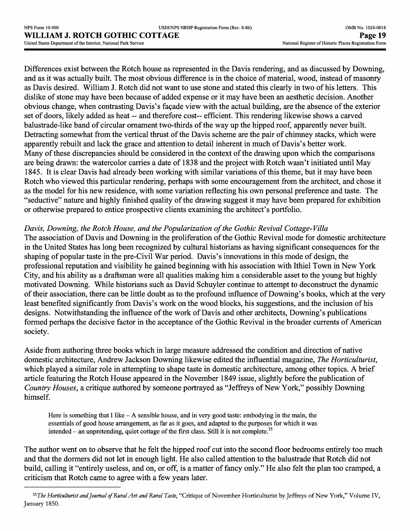Differences exist between the Rotch house as represented in the Davis rendering, and as discussed by Downing, and as it was actually built. The most obvious difference is in the choice of material, wood, instead of masonry as Davis desired. William J. Rotch did not want to use stone and stated this clearly in two of his letters. This dislike of stone may have been because of added expense or it may have been an aesthetic decision. Another obvious change, when contrasting Davis's facade view with the actual building, are the absence of the exterior set of doors, likely added as heat -- and therefore cost-- efficient. This rendering likewise shows a carved balustrade-like band of circular ornament two-thirds of the way up the hipped roof, apparently never built. Detracting somewhat from the vertical thrust of the Davis scheme are the pair of chimney stacks, which were apparently rebuilt and lack the grace and attention to detail inherent in much of Davis's better work. Many of these discrepancies should be considered in the context of the drawing upon which the comparisons are being drawn: the watercolor carries a date of 1838 and the project with Rotch wasn't initiated until May 1845. It is clear Davis had already been working with similar variations of this theme, but it may have been Rotch who viewed this particular rendering, perhaps with some encouragement from the architect, and chose it as the model for his new residence, with some variation reflecting his own personal preference and taste. The "seductive" nature and highly finished quality of the drawing suggest it may have been prepared for exhibition or otherwise prepared to entice prospective clients examining the architect's portfolio.

# *Davis, Downing, the Rotch House, and the Popularization of the Gothic Revival Cottage-Villa*

The association of Davis and Downing in the proliferation of the Gothic Revival mode for domestic architecture in the United States has long been recognized by cultural historians as having significant consequences for the shaping of popular taste in the pre-Civil War period. Davis's innovations in this mode of design, the professional reputation and visibility he gained beginning with his association with Ithiel Town in New York City, and his ability as a draftsman were all qualities making him a considerable asset to the young but highly motivated Downing. While historians such as David Schuyler continue to attempt to deconstruct the dynamic of their association, there can be little doubt as to the profound influence of Downing's books, which at the very least benefited significantly from Davis's work on the wood blocks, his suggestions, and the inclusion of his designs. Notwithstanding the influence of the work of Davis and other architects, Downing's publications formed perhaps the decisive factor in the acceptance of the Gothic Revival in the broader currents of American society.

Aside from authoring three books which in large measure addressed the condition and direction of native domestic architecture, Andrew Jackson Downing likewise edited the influential magazine, *The Horticulturist,*  which played a similar role in attempting to shape taste in domestic architecture, among other topics. A brief article featuring the Rotch House appeared in the November 1849 issue, slightly before the publication of *Country Houses,* a critique authored by someone portrayed as "Jeffreys of New York," possibly Downing himself.

Here is something that I like  $-A$  sensible house, and in very good taste: embodying in the main, the essentials of good house arrangement, as far as it goes, and adapted to the purposes for which it was intended – an unpretending, quiet cottage of the first class. Still it is not complete.<sup>35</sup>

The author went on to observe that he felt the hipped roof cut into the second floor bedrooms entirely too much and that the dormers did not let in enough light. He also called attention to the balustrade that Rotch did not build, calling it "entirely useless, and on, or off, is a matter of fancy only." He also felt the plan too cramped, a criticism that Rotch came to agree with a few years later.

*<sup>^</sup>sThe Horticulturist and Journal of Rural A.rt and Rural Taste,* "Critique of November Horticulturist by Jeffreys of New York," Volume IV, January 1850.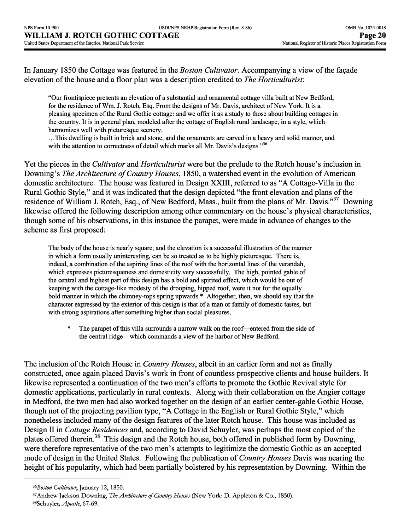In January 1850 the Cottage was featured in the *Boston Cultivator.* Accompanying a view of the fagade elevation of the house and a floor plan was a description credited to *The Horticulturist:*

"Our frontispiece presents an elevation of a substantial and ornamental cottage villa built at New Bedford, for the residence of Wm. J. Rotch, Esq. From the designs of Mr. Davis, architect of New York. It is a pleasing specimen of the Rural Gothic cottage: and we offer it as a study to those about building cottages in the country. It is in general plan, modeled after the cottage of English rural landscape, in a style, which harmonizes well with picturesque scenery.

.. .This dwelling is built in brick and stone, and the ornaments are carved in a heavy and solid manner, and with the attention to correctness of detail which marks all Mr. Davis's designs."<sup>36</sup>

Yet the pieces in the *Cultivator* and *Horticulturist* were but the prelude to the Rotch house's inclusion in Downing's *The Architecture of Country Houses,* 1850, a watershed event in the evolution of American domestic architecture. The house was featured in Design XXIII, referred to as "A Cottage-Villa in the Rural Gothic Style," and it was indicated that the design depicted "the front elevation and plans of the residence of William J. Rotch, Esq., of New Bedford, Mass., built from the plans of Mr. Davis."<sup>37</sup> Downing likewise offered the following description among other commentary on the house's physical characteristics, though some of his observations, in this instance the parapet, were made in advance of changes to the scheme as first proposed:

The body of the house is nearly square, and the elevation is a successful illustration of the manner in which a form usually uninteresting, can be so treated as to be highly picturesque. There is, indeed, a combination of the aspiring lines of the roof with the horizontal lines of the verandah, which expresses picturesqueness and domesticity very successfully. The high, pointed gable of the central and highest part of this design has a bold and spirited effect, which would be out of keeping with the cottage-like modesty of the drooping, hipped roof, were it not for the equally bold manner in which the chimney-tops spring upwards.\* Altogether, then, we should say that the character expressed by the exterior of this design is that of a man or family of domestic tastes, but with strong aspirations after something higher than social pleasures.

\* The parapet of this villa surrounds a narrow walk on the roof—entered from the side of the central ridge - which commands a view of the harbor of New Bedford.

The inclusion of the Rotch House in *Country Houses,* albeit in an earlier form and not as finally constructed, once again placed Davis's work in front of countless prospective clients and house builders. It likewise represented a continuation of the two men's efforts to promote the Gothic Revival style for domestic applications, particularly in rural contexts. Along with their collaboration on the Angier cottage in Medford, the two men had also worked together on the design of an earlier center-gable Gothic House, though not of the projecting pavilion type, "A Cottage in the English or Rural Gothic Style," which nonetheless included many of the design features of the later Rotch house. This house was included as Design II in *Cottage Residences* and, according to David Schuyler, was perhaps the most copied of the plates offered therein.<sup>38</sup> This design and the Rotch house, both offered in published form by Downing, were therefore representative of the two men's attempts to legitimize the domestic Gothic as an accepted mode of design in the United States. Following the publication of *Country Houses* Davis was nearing the height of his popularity, which had been partially bolstered by his representation by Downing. Within the

*<sup>^</sup>Boston Cultivator, January* 12,1850.

<sup>37</sup>Andrew Jackson Downing, *The Architecture of Country Houses* (New York: D. Appleton & Co., 1850).

<sup>38</sup>Schuyler, *Apostle,* 67-69.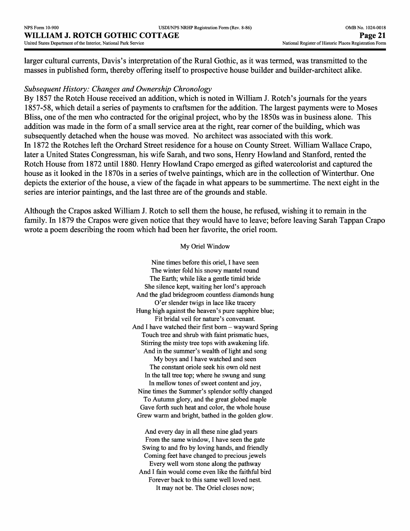larger cultural currents, Davis's interpretation of the Rural Gothic, as it was termed, was transmitted to the masses in published form, thereby offering itself to prospective house builder and builder-architect alike.

#### *Subsequent History: Changes and Ownership Chronology*

By 1857 the Rotch House received an addition, which is noted in William J. Rotch's journals for the years 1857-58, which detail a series of payments to craftsmen for the addition. The largest payments were to Moses Bliss, one of the men who contracted for the original project, who by the 1850s was in business alone. This addition was made in the form of a small service area at the right, rear corner of the building, which was subsequently detached when the house was moved. No architect was associated with this work. In 1872 the Rotches left the Orchard Street residence for a house on County Street. William Wallace Crapo, later a United States Congressman, his wife Sarah, and two sons, Henry Howland and Stanford, rented the Rotch House from 1872 until 1880. Henry Howland Crapo emerged as gifted watercolorist and captured the house as it looked in the 1870s in a series of twelve paintings, which are in the collection of Winterthur. One depicts the exterior of the house, a view of the facade in what appears to be summertime. The next eight in the series are interior paintings, and the last three are of the grounds and stable.

Although the Crapos asked William J. Rotch to sell them the house, he refused, wishing it to remain in the family. In 1879 the Crapos were given notice that they would have to leave; before leaving Sarah Tappan Crapo wrote a poem describing the room which had been her favorite, the oriel room.

#### My Oriel Window

Nine times before this oriel, I have seen The winter fold his snowy mantel round The Earth; while like a gentle timid bride She silence kept, waiting her lord's approach And the glad bridegroom countless diamonds hung O'er slender twigs in lace like tracery Hung high against the heaven's pure sapphire blue; Fit bridal veil for nature's convenant. And I have watched their first born  $-$  wayward Spring Touch tree and shrub with faint prismatic hues, Stirring the misty tree tops with awakening life. And in the summer's wealth of light and song My boys and I have watched and seen The constant oriole seek his own old nest In the tall tree top; where he swung and sung In mellow tones of sweet content and joy, Nine times the Summer's splendor softly changed To Autumn glory, and the great globed maple Gave forth such heat and color, the whole house Grew warm and bright, bathed in the golden glow.

And every day in all these nine glad years From the same window, I have seen the gate Swing to and fro by loving hands, and friendly Coming feet have changed to precious jewels Every well worn stone along the pathway And I fain would come even like the faithful bird Forever back to this same well loved nest. It may not be. The Oriel closes now;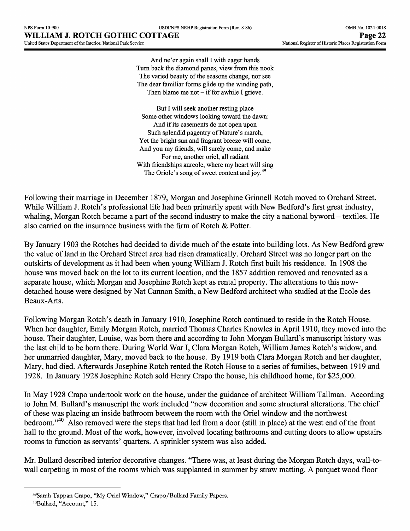And ne'er again shall I with eager hands Turn back the diamond panes, view from this nook The varied beauty of the seasons change, nor see The dear familiar forms glide up the winding path, Then blame me not  $-$  if for awhile I grieve.

But I will seek another resting place Some other windows looking toward the dawn: And if its casements do not open upon Such splendid pagentry of Nature's march, Yet the bright sun and fragrant breeze will come, And you my friends, will surely come, and make For me, another oriel, all radiant With friendships aureole, where my heart will sing The Oriole's song of sweet content and joy.<sup>39</sup>

Following their marriage in December 1879, Morgan and Josephine Grinnell Rotch moved to Orchard Street. While William J. Rotch's professional life had been primarily spent with New Bedford's first great industry, whaling, Morgan Rotch became a part of the second industry to make the city a national byword – textiles. He also carried on the insurance business with the firm of Rotch & Potter.

By January 1903 the Rotches had decided to divide much of the estate into building lots. As New Bedford grew the value of land in the Orchard Street area had risen dramatically. Orchard Street was no longer part on the outskirts of development as it had been when young William J. Rotch first built his residence. In 1908 the house was moved back on the lot to its current location, and the 1857 addition removed and renovated as a separate house, which Morgan and Josephine Rotch kept as rental property. The alterations to this nowdetached house were designed by Nat Cannon Smith, a New Bedford architect who studied at the Ecole des Beaux-Arts.

Following Morgan Rotch's death in January 1910, Josephine Rotch continued to reside in the Rotch House. When her daughter, Emily Morgan Rotch, married Thomas Charles Knowles in April 1910, they moved into the house. Their daughter, Louise, was born there and according to John Morgan Bullard's manuscript history was the last child to be born there. During World War I, Clara Morgan Rotch, William James Rotch's widow, and her unmarried daughter, Mary, moved back to the house. By 1919 both Clara Morgan Rotch and her daughter, Mary, had died. Afterwards Josephine Rotch rented the Rotch House to a series of families, between 1919 and 1928. In January 1928 Josephine Rotch sold Henry Crapo the house, his childhood home, for \$25,000.

In May 1928 Crapo undertook work on the house, under the guidance of architect William Tallman. According to John M. Bullard's manuscript the work included "new decoration and some structural alterations. The chief of these was placing an inside bathroom between the room with the Oriel window and the northwest bedroom."40 Also removed were the steps that had led from a door (still in place) at the west end of the front hall to the ground. Most of the work, however, involved locating bathrooms and cutting doors to allow upstairs rooms to function as servants' quarters. A sprinkler system was also added.

Mr. Bullard described interior decorative changes. "There was, at least during the Morgan Rotch days, wall-towall carpeting in most of the rooms which was supplanted in summer by straw matting. A parquet wood floor

<sup>39</sup>Sarah Tappan Crapo, "My Oriel Window," Crapo/Bullard Family Papers. 40Bullard, "Account," 15.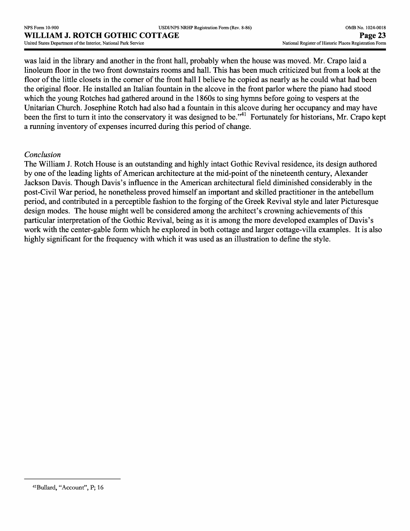was laid in the library and another in the front hall, probably when the house was moved. Mr. Crapo laid a linoleum floor in the two front downstairs rooms and hall. This has been much criticized but from a look at the floor of the little closets in the corner of the front hall I believe he copied as nearly as he could what had been the original floor. He installed an Italian fountain in the alcove in the front parlor where the piano had stood which the young Rotches had gathered around in the 1860s to sing hymns before going to vespers at the Unitarian Church. Josephine Rotch had also had a fountain in this alcove during her occupancy and may have been the first to turn it into the conservatory it was designed to be."<sup>41</sup> Fortunately for historians, Mr. Crapo kept a running inventory of expenses incurred during this period of change.

## *Conclusion*

The William J. Rotch House is an outstanding and highly intact Gothic Revival residence, its design authored by one of the leading lights of American architecture at the mid-point of the nineteenth century, Alexander Jackson Davis. Though Davis's influence in the American architectural field diminished considerably in the post-Civil War period, he nonetheless proved himself an important and skilled practitioner in the antebellum period, and contributed in a perceptible fashion to the forging of the Greek Revival style and later Picturesque design modes. The house might well be considered among the architect's crowning achievements of this particular interpretation of the Gothic Revival, being as it is among the more developed examples of Davis's work with the center-gable form which he explored in both cottage and larger cottage-villa examples. It is also highly significant for the frequency with which it was used as an illustration to define the style.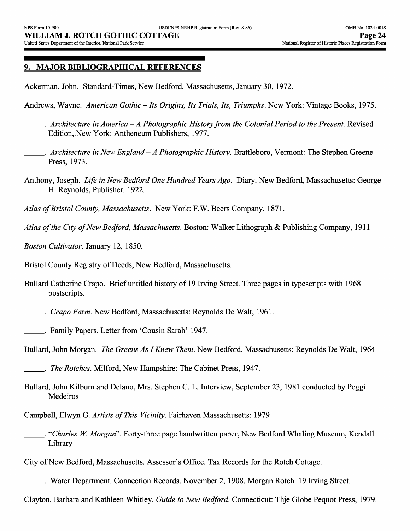#### **9. MAJOR BIBLIOGRAPHICAL REFERENCES**

Ackerman, John. Standard-Times, New Bedford, Massachusetts, January 30, 1972.

Andrews, Wayne. *American Gothic-Its Origins, Its Trials, Its, Triumphs.* New York: Vintage Books, 1975.

- \_\_\_. *Architecture in America A Photographic History from the Colonial Period to the Present.* Revised Edition,.New York: Antheneum Publishers, 1977.
- \_\_\_. *Architecture in New England A Photographic History.* Brattleboro, Vermont: The Stephen Greene Press, 1973.
- Anthony, Joseph. *Life in New Bedford One Hundred Years Ago.* Diary. New Bedford, Massachusetts: George H. Reynolds, Publisher. 1922.
- *Atlas of Bristol County, Massachusetts.* New York: F.W. Beers Company, 1871.
- *Atlas of the City of New Bedford, Massachusetts.* Boston: Walker Lithograph & Publishing Company, 1911
- *Boston Cultivator.* January 12, 1850.
- Bristol County Registry of Deeds, New Bedford, Massachusetts.
- Bullard Catherine Crapo. Brief untitled history of 19 Irving Street. Three pages in typescripts with 1968 postscripts.
- \_\_\_. *Crapo Farm.* New Bedford, Massachusetts: Reynolds De Walt, 1961.
- \_\_\_. Family Papers. Letter from 'Cousin Sarah' 1947.
- Bullard, John Morgan. *The Greens As I Knew Them.* New Bedford, Massachusetts: Reynolds De Walt, 1964

- Bullard, John Kilburn and Delano, Mrs. Stephen C. L. Interview, September 23, 1981 conducted by Peggi Medeiros
- Campbell, Elwyn G. *Artists of This Vicinity.* Fairhaven Massachusetts: 1979
- \_\_\_. *"Charles W. Morgan".* Forty-three page handwritten paper, New Bedford Whaling Museum, Kendall Library
- City of New Bedford, Massachusetts. Assessor's Office. Tax Records for the Rotch Cottage.
- \_\_\_. Water Department. Connection Records. November 2, 1908. Morgan Rotch. 19 Irving Street.
- Clayton, Barbara and Kathleen Whitley. *Guide to New Bedford.* Connecticut: Thje Globe Pequot Press, 1979.

\_\_\_. *The Rotches.* Milford, New Hampshire: The Cabinet Press, 1947.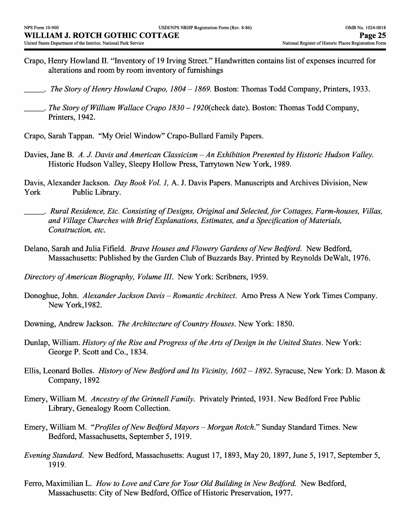- Crapo, Henry Rowland II. "Inventory of 19 Irving Street." Handwritten contains list of expenses incurred for alterations and room by room inventory of furnishings
- \_\_\_. *The Story of Henry Rowland Crapo, 1804 -1869.* Boston: Thomas Todd Company, Printers, 1933.
- . *The Story of William Wallace Crapo 1830 1920* (check date). Boston: Thomas Todd Company, Printers, 1942.
- Crapo, Sarah Tappan. "My Oriel Window" Crapo-Bullard Family Papers.
- Davies, Jane B. *A. J. Davis and American Classicism An Exhibition Presented by Historic Hudson Valley.*  Historic Hudson Valley, Sleepy Hollow Press, Tarrytown New York, 1989.

Davis, Alexander Jackson. *Day Book Vol. 1,* A. J. Davis Papers. Manuscripts and Archives Division, New York Public Library.

- \_\_\_. *Rural Residence, Etc. Consisting of Designs, Original and Selected, for Cottages, Farm-houses, Villas, and Village Churches with Brief Explanations, Estimates, and a Specification of Materials, Construction, etc.*
- Delano, Sarah and Julia Fifield. *Brave Houses and Flowery Gardens of New Bedford.* New Bedford, Massachusetts: Published by the Garden Club of Buzzards Bay. Printed by Reynolds DeWalt, 1976.

*Directory of American Biography, Volume III.* New York: Scribners, 1959.

- Donoghue, John. *Alexander Jackson Davis Romantic Architect.* Arno Press A New York Times Company. New York, 1982.
- Downing, Andrew Jackson. *The Architecture of Country Houses.* New York: 1850.
- Dunlap, William. *History of the Rise and Progress of the Arts of Design in the United States.* New York: George P. Scott and Co., 1834.
- Ellis, Leonard Bolles. *History of New Bedford and Its Vicinity, 1602 -1892.* Syracuse, New York: D. Mason & Company, 1892
- Emery, William M. *Ancestry of the Grinnell Family.* Privately Printed, 1931. New Bedford Free Public Library, Genealogy Room Collection.
- Emery, William M. *''Profiles of New Bedford Mayors Morgan Rotch."* Sunday Standard Times. New Bedford, Massachusetts, September 5, 1919.
- *Evening Standard.* New Bedford, Massachusetts: August 17, 1893, May 20, 1897, June 5, 1917, September 5, 1919.
- Ferro, Maximilian L. *How to Love and Care for Your Old Building in New Bedford.* New Bedford, Massachusetts: City of New Bedford, Office of Historic Preservation, 1977.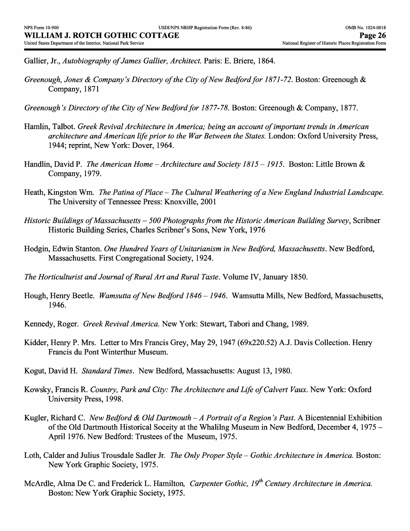Gallier, Jr., *Autobiography of James Gallier, Architect.* Paris: E. Briere, 1864.

- *Greenough, Jones & Company's Directory of the City of New Bedford for 1871-72.* Boston: Greenough & Company, 1871
- *Greenough's Directory of the City of New Bedford for 1877-78. Boston: Greenough & Company, 1877.*
- Hamlin, Talbot. *Greek Revival Architecture in America; being an account of important trends in American architecture and American life prior to the War Between the States.* London: Oxford University Press, 1944; reprint, New York: Dover, 1964.
- Handlin, David P. *The American Home Architecture and Society 1815 -1915.* Boston: Little Brown & Company, 1979.
- Heath, Kingston Wm. *The Patina of Place The Cultural Weathering of a New England Industrial Landscape.* The University of Tennessee Press: Knoxville, 2001
- *Historic Buildings of Massachusetts 500 Photographs from the Historic American Building Survey,* Scribner Historic Building Series, Charles Scribner's Sons, New York, 1976
- Hodgin, Edwin Stanton. *One Hundred Years ofUnitarianism in New Bedford, Massachusetts.* New Bedford, Massachusetts. First Congregational Society, 1924.
- *The Horticulturist and Journal of Rural Art and Rural Taste.* Volume IV, January 1850.
- Hough, Henry Beetle. *Wamsutta of New Bedford 1846 -1946.* Wamsutta Mills, New Bedford, Massachusetts, 1946.
- Kennedy, Roger. *Greek Revival America.* New York: Stewart, Tabori and Chang, 1989.
- Kidder, Henry P. Mrs. Letter to Mrs Francis Grey, May 29, 1947 (69x220.52) A.J. Davis Collection. Henry Francis du Pont Winterthur Museum.
- Kogut, David H. *Standard Times.* New Bedford, Massachusetts: August 13, 1980.
- Kowsky, Francis R. Country, Park and City: The Architecture and Life of Calvert Vaux. New York: Oxford University Press, 1998.
- Kugler, Richard C. *New Bedford & Old Dartmouth A Portrait of a Region's Past.* A Bicentennial Exhibition of the Old Dartmouth Historical Soceity at the Whalilng Museum in New Bedford, December 4, 1975 - April 1976. New Bedford: Trustees of the Museum, 1975.
- Loth, Calder and Julius Trousdale Sadler Jr. *The Only Proper Style Gothic Architecture in America*. Boston: New York Graphic Society, 1975.
- McArdle, Alma De C. and Frederick L. Hamilton, *Carpenter Gothic, 19th Century Architecture in America.*  Boston: New York Graphic Society, 1975.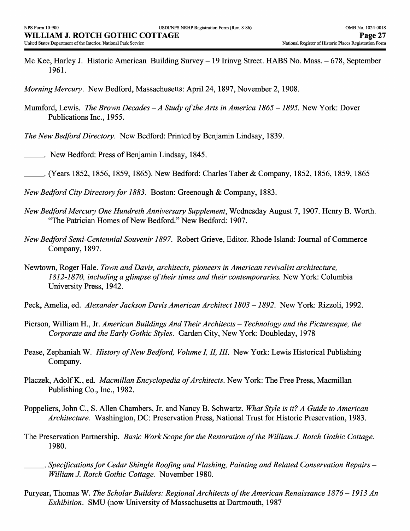Mc Kee, Harley J. Historic American Building Survey – 19 Irinvg Street. HABS No. Mass. – 678, September 1961.

*Morning Mercury.* New Bedford, Massachusetts: April 24, 1897, November 2, 1908.

- Mumford, Lewis. *The Brown Decades A Study of the Arts in America 1865 -1895.* New York: Dover Publications Inc., 1955.
- *The New Bedford Directory.* New Bedford: Printed by Benjamin Lindsay, 1839.
- \_\_\_. New Bedford: Press of Benjamin Lindsay, 1845.
- \_\_\_. (Years 1852, 1856, 1859, 1865). New Bedford: Charles Taber & Company, 1852, 1856, 1859, 1865
- *New Bedford City Directory for 1883.* Boston: Greenough & Company, 1883.
- *New Bedford Mercury One Hundreth Anniversary Supplement,* Wednesday August 7, 1907. Henry B. Worth. "The Patrician Homes of New Bedford." New Bedford: 1907.
- *New Bedford Semi-Centennial Souvenir 1897.* Robert Grieve, Editor. Rhode Island: Journal of Commerce Company, 1897.
- Newtown, Roger Hale. *Town and Davis, architects, pioneers in American revivalist architecture, 1812-1870, including a glimpse of their times and their contemporaries.* New York: Columbia University Press, 1942.
- Peck, Amelia, ed. *Alexander Jackson Davis American Architect 1803 1892.* New York: Rizzoli, 1992.
- Pierson, William H., Jr. *American Buildings And Their Architects Technology and the Picturesque, the Corporate and the Early Gothic Styles.* Garden City, New York: Doubleday, 1978
- Pease, Zephaniah W. *History of New Bedford, Volume I, II, III.* New York: Lewis Historical Publishing Company.
- Placzek, Adolf K., ed. *Macmillan Encyclopedia of Architects.* New York: The Free Press, Macmillan Publishing Co., Inc., 1982.
- Poppeliers, John C., S. Alien Chambers, Jr. and Nancy B. Schwartz. *What Style is it? A Guide to American Architecture.* Washington, DC: Preservation Press, National Trust for Historic Preservation, 1983.
- The Preservation Partnership. *Basic Work Scope for the Restoration of the William J. Rotch Gothic Cottage.*  1980.
- \_\_\_. *Specifications for Cedar Shingle Roofing and Flashing, Painting and Related Conservation Repairs William J. Rotch Gothic Cottage.* November 1980.
- Puryear, Thomas W. *The Scholar Builders: Regional Architects of the American Renaissance 1876 -1913 An Exhibition.* SMU (now University of Massachusetts at Dartmouth, 1987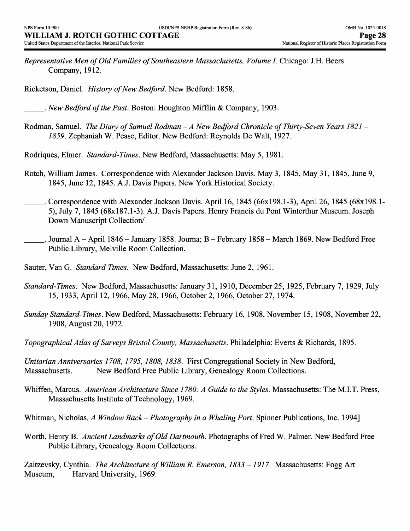*Representative Men of Old Families of Southeastern Massachusetts, Volume I.* Chicago: J.H. Beers Company, 1912.

Ricketson, Daniel. *History of New Bedford.* New Bedford: 1858.

\_\_\_. *New Bedford of the Past.* Boston: Houghton Mifflin & Company, 1903.

Rodman, Samuel. *The Diary of Samuel Rodman - A New Bedford Chronicle of Thirty-Seven Years 1821 - 1859.* Zephaniah W. Pease, Editor. New Bedford: Reynolds De Walt, 1927.

Rodriques, Elmer. *Standard-Times.* New Bedford, Massachusetts: May 5, 1981.

- Rotch, William James. Correspondence with Alexander Jackson Davis. May 3, 1845, May 31, 1845, June 9, 1845, June 12, 1845. A.J. Davis Papers. New York Historical Society.
- \_\_\_. Correspondence with Alexander Jackson Davis. April 16, 1845 (66x198.1-3), April 26, 1845 (68x198.1- 5), July 7, 1845 (68x187.1-3). A.J. Davis Papers. Henry Francis du Pont Winterthur Museum. Joseph Down Manuscript Collection/
- \_\_\_. Journal A April 1846 January 1858. Journa; B February 1858 March 1869. New Bedford Free Public Library, Melville Room Collection.
- Sauter, Van G. *Standard Times.* New Bedford, Massachusetts: June 2, 1961.
- *Standard-Times.* New Bedford, Massachusetts: January 31, 1910, December 25, 1925, February 7, 1929, July 15, 1933, April 12, 1966, May 28, 1966, October 2, 1966, October 27, 1974.
- *Sunday Standard-Times.* New Bedford, Massachusetts: February 16, 1908, November 15, 1908, November 22, 1908, August 20, 1972.
- *Topographical Atlas of Surveys Bristol County, Massachusetts.* Philadelphia: Everts & Richards, 1895.

*Unitarian Anniversaries 1708, 1795, 1808, 1838.* First Congregational Society in New Bedford, Massachusetts. New Bedford Free Public Library, Genealogy Room Collections.

- Whiffen, Marcus. *American Architecture Since 1780: A Guide to the Styles*. Massachusetts: The M.I.T. Press, Massachusetts Institute of Technology, 1969.
- Whitman, Nicholas. *A Window Back-Photography in a Whaling Port.* Spinner Publications, Inc. 1994]
- Worth, Henry B. *Ancient Landmarks of Old Dartmouth.* Photographs of Fred W. Palmer. New Bedford Free Public Library, Genealogy Room Collections.

Zaitzevsky, Cynthia. *The Architecture of William R. Emerson, 1833 -1917.* Massachusetts: Fogg Art Museum, Harvard University, 1969.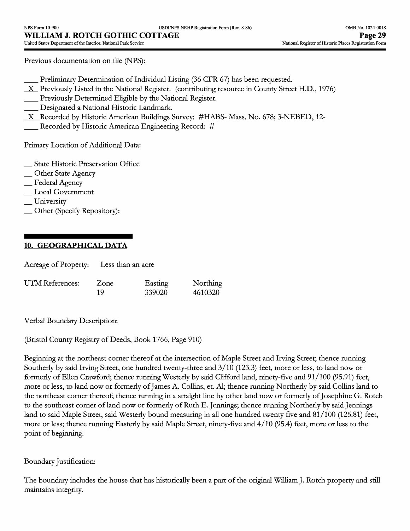Previous documentation on file (NFS):

Preliminary Determination of Individual Listing (36 CFR 67) has been requested.

- $X$  Previously Listed in the National Register. (contributing resource in County Street H.D., 1976)
- Previously Determined Eligible by the National Register.
- Designated a National Historic Landmark.
- $X$  Recorded by Historic American Buildings Survey: #HABS- Mass. No. 678; 3-NEBED, 12-
- Recorded by Historic American Engineering Record: #

Primary Location of Additional Data:

\_ State Historic Preservation Office

- \_ Other State Agency
- \_ Federal Agency
- \_ Local Government
- \_ University
- \_ Other (Specify Repository):

## **10. GEOGRAPHICAL DATA**

| Acreage of Property: | Less than an acre |
|----------------------|-------------------|
|----------------------|-------------------|

| UTM References: | Zone | Easting | Northing |
|-----------------|------|---------|----------|
|                 | 19   | 339020  | 4610320  |

Verbal Boundary Description:

(Bristol County Registry of Deeds, Book 1766, Page 910)

Beginning at the northeast corner thereof at the intersection of Maple Street and Irving Street; thence running Southerly by said Irving Street, one hundred twenty-three and 3/10 (123.3) feet, more or less, to land now or formerly of Ellen Crawford; thence running Westerly by said Clifford land, ninety-five and 91/100 (95.91) feet, more or less, to land now or formerly of James A. Collins, et. Al; thence running Northerly by said Collins land to the northeast corner thereof; thence running in a straight line by other land now or formerly of Josephine G. Rotch to the southeast corner of land now or formerly of Ruth E. Jennings; thence running Northerly by said Jennings land to said Maple Street, said Westerly bound measuring in all one hundred twenty five and 81/100 (125.81) feet, more or less; thence running Easterly by said Maple Street, ninety-five and 4/10 (95.4) feet, more or less to the point of beginning.

## Boundary Justification:

The boundary includes the house that has historically been a part of the original William J. Rotch property and still maintains integrity.